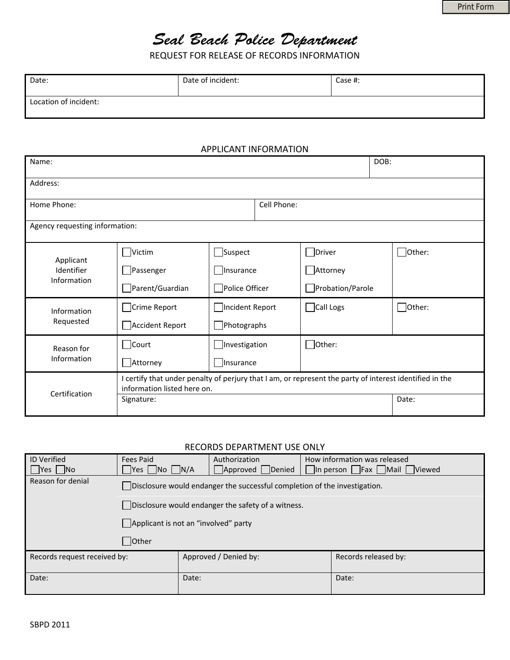# Seal Beach Police Department

REQUEST FOR RELEASE OF RECORDS INFORMATION

| Date:                 | Date of incident: | Case #: |
|-----------------------|-------------------|---------|
| Location of incident: |                   |         |

#### APPLICANT INFORMATION

| Name:                                  |                                                                                                                                        |                    |         |                  | DOB: |               |  |  |
|----------------------------------------|----------------------------------------------------------------------------------------------------------------------------------------|--------------------|---------|------------------|------|---------------|--|--|
| Address:                               |                                                                                                                                        |                    |         |                  |      |               |  |  |
| Home Phone:                            |                                                                                                                                        | Cell Phone:        |         |                  |      |               |  |  |
| Agency requesting information:         |                                                                                                                                        |                    |         |                  |      |               |  |  |
| Applicant<br>Identifier<br>Information | Victim                                                                                                                                 | $\Box$ Suspect     | □Driver |                  |      | $\Box$ Other: |  |  |
|                                        | Passenger                                                                                                                              | Insurance          |         | Attorney         |      |               |  |  |
|                                        | Parent/Guardian                                                                                                                        | Police Officer     |         | Probation/Parole |      |               |  |  |
| Information<br>Requested               | Crime Report                                                                                                                           | □Incident Report   |         | Call Logs        |      | $\Box$ Other: |  |  |
|                                        | Accident Report                                                                                                                        | $\Box$ Photographs |         |                  |      |               |  |  |
| Reason for<br>Information              | Court                                                                                                                                  | Investigation      |         | $\Box$ Other:    |      |               |  |  |
|                                        | Attorney                                                                                                                               | Insurance          |         |                  |      |               |  |  |
| Certification                          | I certify that under penalty of perjury that I am, or represent the party of interest identified in the<br>information listed here on. |                    |         |                  |      |               |  |  |
|                                        | Signature:                                                                                                                             |                    |         |                  |      | Date:         |  |  |

#### RECORDS DEPARTMENT USE ONLY

| <b>ID Verified</b>           | Fees Paid                                                                 |       | Authorization         |  | How information was released |  |  |
|------------------------------|---------------------------------------------------------------------------|-------|-----------------------|--|------------------------------|--|--|
| $\Box$ Yes $\Box$ No         | Yes    No    N/A                                                          |       | Approved<br>Denied    |  | In person Fax Mail Viewed    |  |  |
| Reason for denial            | Disclosure would endanger the successful completion of the investigation. |       |                       |  |                              |  |  |
|                              | Disclosure would endanger the safety of a witness.                        |       |                       |  |                              |  |  |
|                              | Applicant is not an "involved" party                                      |       |                       |  |                              |  |  |
| Other                        |                                                                           |       |                       |  |                              |  |  |
| Records request received by: |                                                                           |       | Approved / Denied by: |  | Records released by:         |  |  |
| Date:                        |                                                                           | Date: |                       |  | Date:                        |  |  |